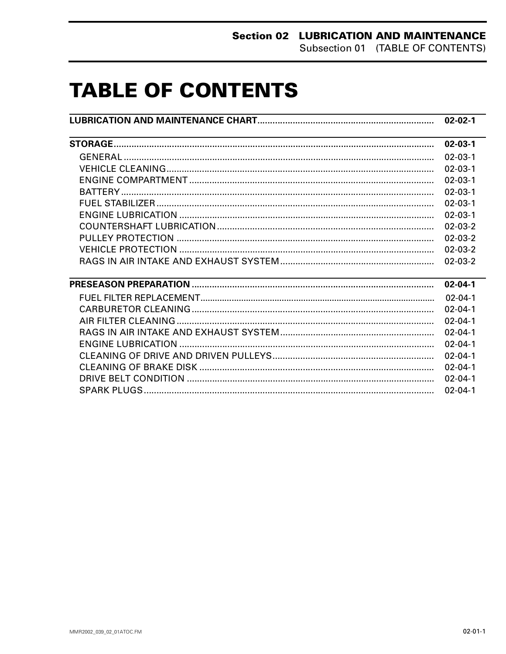# **TABLE OF CONTENTS**

| <u> 1989 - Johann Barn, mars ann an t-Amhainn an t-Amhainn an t-Amhainn an t-Amhainn an t-Amhainn an t-Amhainn an</u>  | $02 - 03 - 1$ |
|------------------------------------------------------------------------------------------------------------------------|---------------|
|                                                                                                                        | $02 - 03 - 1$ |
|                                                                                                                        | $02 - 03 - 1$ |
|                                                                                                                        | $02 - 03 - 1$ |
|                                                                                                                        | $02 - 03 - 1$ |
|                                                                                                                        | $02 - 03 - 1$ |
|                                                                                                                        | $02 - 03 - 1$ |
|                                                                                                                        | $02 - 03 - 2$ |
|                                                                                                                        | $02 - 03 - 2$ |
|                                                                                                                        | $02 - 03 - 2$ |
|                                                                                                                        | $02 - 03 - 2$ |
| <u> 1989 - Johann Barn, mars ann an t-Amhain ann an t-Amhain ann an t-Amhain ann an t-Amhain an t-Amhain ann an t-</u> | $02 - 04 - 1$ |
|                                                                                                                        | $02 - 04 - 1$ |
|                                                                                                                        | $02 - 04 - 1$ |
|                                                                                                                        | $02 - 04 - 1$ |
|                                                                                                                        | $02 - 04 - 1$ |
|                                                                                                                        | $02 - 04 - 1$ |
|                                                                                                                        | $02 - 04 - 1$ |
|                                                                                                                        | $02 - 04 - 1$ |
|                                                                                                                        | $02 - 04 - 1$ |
|                                                                                                                        | $02 - 04 - 1$ |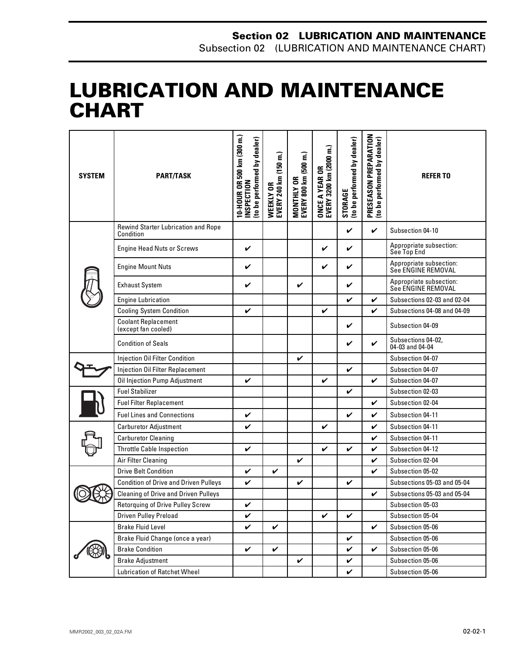## <span id="page-1-0"></span>**LUBRICATION AND MAINTENANCE CHART 0**

| <b>SYSTEM</b> | <b>PART/TASK</b>                                  | 10-HOUR OR 500 km (300 m.)<br>to be performed by dealer)<br><b>NSPECTION</b> | WEEKLY OR<br>EVERY 240 km (150 m.) | MONTHLY OR<br>EVERY 800 km (500 m.) | ONCE A YEAR OR<br>EVERY 3200 km (2000 m.) | (to be performed by dealer)<br>STORAGE | PRESEASON PREPARATION<br>(to be performed by dealer) | <b>REFERTO</b>                                |
|---------------|---------------------------------------------------|------------------------------------------------------------------------------|------------------------------------|-------------------------------------|-------------------------------------------|----------------------------------------|------------------------------------------------------|-----------------------------------------------|
|               | Rewind Starter Lubrication and Rope<br>Condition  |                                                                              |                                    |                                     |                                           | $\checkmark$                           | $\checkmark$                                         | Subsection 04-10                              |
|               | <b>Engine Head Nuts or Screws</b>                 | V                                                                            |                                    |                                     | V                                         | V                                      |                                                      | Appropriate subsection:<br>See Top End        |
|               | <b>Engine Mount Nuts</b>                          | V                                                                            |                                    |                                     | V                                         | V                                      |                                                      | Appropriate subsection:<br>See ENGINE REMOVAL |
|               | <b>Exhaust System</b>                             | V                                                                            |                                    | V                                   |                                           | V                                      |                                                      | Appropriate subsection:<br>See ENGINE REMOVAL |
|               | <b>Engine Lubrication</b>                         |                                                                              |                                    |                                     |                                           | $\checkmark$                           | V                                                    | Subsections 02-03 and 02-04                   |
|               | <b>Cooling System Condition</b>                   | V                                                                            |                                    |                                     | V                                         |                                        | V                                                    | Subsections 04-08 and 04-09                   |
|               | <b>Coolant Replacement</b><br>(except fan cooled) |                                                                              |                                    |                                     |                                           | V                                      |                                                      | Subsection 04-09                              |
|               | <b>Condition of Seals</b>                         |                                                                              |                                    |                                     |                                           | V                                      | V                                                    | Subsections 04-02,<br>04-03 and 04-04         |
|               | Injection Oil Filter Condition                    |                                                                              |                                    | V                                   |                                           |                                        |                                                      | Subsection 04-07                              |
|               | <b>Injection Oil Filter Replacement</b>           |                                                                              |                                    |                                     |                                           | $\checkmark$                           |                                                      | Subsection 04-07                              |
|               | Oil Injection Pump Adjustment                     | V                                                                            |                                    |                                     | V                                         |                                        | V                                                    | Subsection 04-07                              |
|               | <b>Fuel Stabilizer</b>                            |                                                                              |                                    |                                     |                                           | $\checkmark$                           |                                                      | Subsection 02-03                              |
|               | <b>Fuel Filter Replacement</b>                    |                                                                              |                                    |                                     |                                           |                                        | V                                                    | Subsection 02-04                              |
|               | <b>Fuel Lines and Connections</b>                 | V                                                                            |                                    |                                     |                                           | $\checkmark$                           | V                                                    | Subsection 04-11                              |
|               | <b>Carburetor Adjustment</b>                      | V                                                                            |                                    |                                     | V                                         |                                        | V                                                    | Subsection 04-11                              |
|               | <b>Carburetor Cleaning</b>                        |                                                                              |                                    |                                     |                                           |                                        | V                                                    | Subsection 04-11                              |
|               | <b>Throttle Cable Inspection</b>                  | V                                                                            |                                    |                                     | V                                         | V                                      | V                                                    | Subsection 04-12                              |
|               | Air Filter Cleaning                               |                                                                              |                                    | V                                   |                                           |                                        | V                                                    | Subsection 02-04                              |
|               | <b>Drive Belt Condition</b>                       | V                                                                            | V                                  |                                     |                                           |                                        | V                                                    | Subsection 05-02                              |
|               | <b>Condition of Drive and Driven Pulleys</b>      | V                                                                            |                                    | V                                   |                                           | V                                      |                                                      | Subsections 05-03 and 05-04                   |
|               | <b>Cleaning of Drive and Driven Pulleys</b>       |                                                                              |                                    |                                     |                                           |                                        | V                                                    | Subsections 05-03 and 05-04                   |
|               | Retorquing of Drive Pulley Screw                  | V                                                                            |                                    |                                     |                                           |                                        |                                                      | Subsection 05-03                              |
|               | Driven Pulley Preload                             | V                                                                            |                                    |                                     | V                                         | V                                      |                                                      | Subsection 05-04                              |
|               | <b>Brake Fluid Level</b>                          | V                                                                            | $\checkmark$                       |                                     |                                           |                                        | V                                                    | Subsection 05-06                              |
|               | Brake Fluid Change (once a year)                  |                                                                              |                                    |                                     |                                           | V                                      |                                                      | Subsection 05-06                              |
|               | <b>Brake Condition</b>                            | V                                                                            | $\checkmark$                       |                                     |                                           | V                                      | V                                                    | Subsection 05-06                              |
|               | <b>Brake Adjustment</b>                           |                                                                              |                                    | $\checkmark$                        |                                           | V                                      |                                                      | Subsection 05-06                              |
|               | <b>Lubrication of Ratchet Wheel</b>               |                                                                              |                                    |                                     |                                           | V                                      |                                                      | Subsection 05-06                              |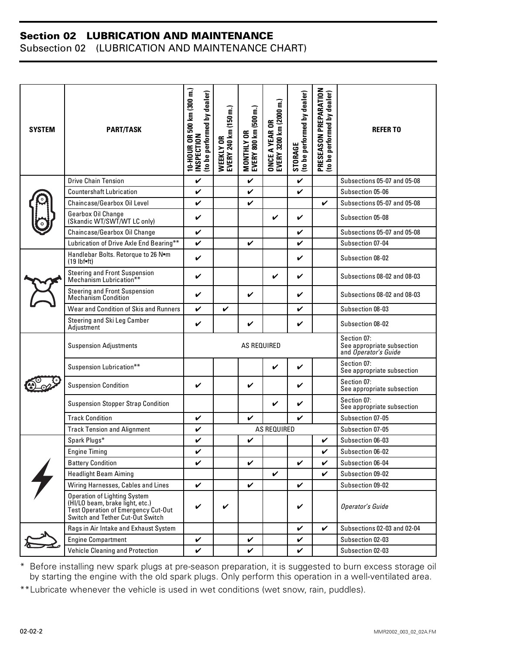#### **Section 02 LUBRICATION AND MAINTENANCE**

Subsection 02 (LUBRICATION AND MAINTENANCE CHART)

| <b>SYSTEM</b> | <b>PART/TASK</b>                                                                                                                                  | 10-HOUR OR 500 km (300 m.)<br>(to be performed by dealer)<br><b>INSPECTION</b> | WEEKLY OR<br>EVERY 240 km (150 m.) | MONTHLY OR<br>EVERY 800 km (500 m.) | EVERY 3200 km (2000 m.)<br><b>ONCE A YEAR OR</b> | (to be performed by dealer)<br>STORAGE | PRESEASON PREPARATION<br>(to be performed by dealer) | <b>REFERTO</b>                                                    |
|---------------|---------------------------------------------------------------------------------------------------------------------------------------------------|--------------------------------------------------------------------------------|------------------------------------|-------------------------------------|--------------------------------------------------|----------------------------------------|------------------------------------------------------|-------------------------------------------------------------------|
|               | <b>Drive Chain Tension</b>                                                                                                                        | $\checkmark$                                                                   |                                    | $\mathbf v$                         |                                                  | $\checkmark$                           |                                                      | Subsections 05-07 and 05-08                                       |
|               | <b>Countershaft Lubrication</b>                                                                                                                   | $\checkmark$                                                                   |                                    | V                                   |                                                  | V                                      |                                                      | Subsection 05-06                                                  |
|               | Chaincase/Gearbox Oil Level                                                                                                                       | $\checkmark$                                                                   |                                    | V                                   |                                                  |                                        | $\checkmark$                                         | Subsections 05-07 and 05-08                                       |
|               | Gearbox Oil Change<br>(Skandic WT/SWT/WT LC only)                                                                                                 | V                                                                              |                                    |                                     | V                                                | V                                      |                                                      | Subsection 05-08                                                  |
|               | Chaincase/Gearbox Oil Change                                                                                                                      | $\checkmark$                                                                   |                                    |                                     |                                                  | V                                      |                                                      | Subsections 05-07 and 05-08                                       |
|               | Lubrication of Drive Axle End Bearing**                                                                                                           | V                                                                              |                                    | V                                   |                                                  | V                                      |                                                      | Subsection 07-04                                                  |
|               | Handlebar Bolts. Retorque to 26 Nom<br>$(19$ lbf $\bullet$ ft)                                                                                    | $\checkmark$                                                                   |                                    |                                     |                                                  | V                                      |                                                      | Subsection 08-02                                                  |
|               | Steering and Front Suspension<br>Mechanism Lubrication**                                                                                          | V                                                                              |                                    |                                     | V                                                | V                                      |                                                      | Subsections 08-02 and 08-03                                       |
|               | Steering and Front Suspension<br>Mechanism Condition                                                                                              | V                                                                              |                                    | ✓                                   |                                                  | V                                      |                                                      | Subsections 08-02 and 08-03                                       |
|               | Wear and Condition of Skis and Runners                                                                                                            | $\checkmark$                                                                   | V                                  |                                     |                                                  | V                                      |                                                      | Subsection 08-03                                                  |
|               | Steering and Ski Leg Camber<br>Adjustment                                                                                                         | V                                                                              |                                    | V                                   |                                                  | V                                      |                                                      | Subsection 08-02                                                  |
|               | <b>Suspension Adjustments</b>                                                                                                                     | AS REQUIRED                                                                    |                                    |                                     |                                                  |                                        |                                                      | Section 07:<br>See appropriate subsection<br>and Operator's Guide |
|               | Suspension Lubrication**                                                                                                                          |                                                                                |                                    |                                     | $\checkmark$                                     | V                                      |                                                      | Section 07:<br>See appropriate subsection                         |
|               | <b>Suspension Condition</b>                                                                                                                       | V                                                                              |                                    | V                                   |                                                  | V                                      |                                                      | Section 07:<br>See appropriate subsection                         |
|               | <b>Suspension Stopper Strap Condition</b>                                                                                                         |                                                                                |                                    |                                     | V                                                | V                                      |                                                      | Section 07:<br>See appropriate subsection                         |
|               | <b>Track Condition</b>                                                                                                                            | V                                                                              |                                    | V                                   |                                                  | V                                      |                                                      | Subsection 07-05                                                  |
|               | <b>Track Tension and Alignment</b>                                                                                                                | AS REQUIRED<br>V                                                               |                                    |                                     |                                                  | Subsection 07-05                       |                                                      |                                                                   |
|               | Spark Plugs*                                                                                                                                      | $\checkmark$                                                                   |                                    | V                                   |                                                  |                                        | V                                                    | Subsection 06-03                                                  |
|               | <b>Engine Timing</b>                                                                                                                              |                                                                                |                                    |                                     |                                                  |                                        | ✓                                                    | Subsection 06-02                                                  |
|               | <b>Battery Condition</b>                                                                                                                          | V                                                                              |                                    | V                                   |                                                  | V                                      | V                                                    | Subsection 06-04                                                  |
|               | <b>Headlight Beam Aiming</b>                                                                                                                      |                                                                                |                                    |                                     | V                                                |                                        | ✓                                                    | Subsection 09-02                                                  |
|               | Wiring Harnesses, Cables and Lines                                                                                                                | V                                                                              |                                    | V                                   |                                                  | $\checkmark$                           |                                                      | Subsection 09-02                                                  |
|               | <b>Operation of Lighting System</b><br>(HI/LO beam, brake light, etc.)<br>Test Operation of Emergency Cut-Out<br>Switch and Tether Cut-Out Switch | V                                                                              | V                                  |                                     |                                                  | V                                      |                                                      | <b>Operator's Guide</b>                                           |
|               | Rags in Air Intake and Exhaust System                                                                                                             |                                                                                |                                    |                                     |                                                  | V                                      | V                                                    | Subsections 02-03 and 02-04                                       |
|               | <b>Engine Compartment</b>                                                                                                                         | V                                                                              |                                    | V                                   |                                                  | V                                      |                                                      | Subsection 02-03                                                  |
|               | Vehicle Cleaning and Protection                                                                                                                   | V                                                                              |                                    | ✓                                   |                                                  | V                                      |                                                      | Subsection 02-03                                                  |

\* Before installing new spark plugs at pre-season preparation, it is suggested to burn excess storage oil by starting the engine with the old spark plugs. Only perform this operation in a well-ventilated area.

\*\*Lubricate whenever the vehicle is used in wet conditions (wet snow, rain, puddles).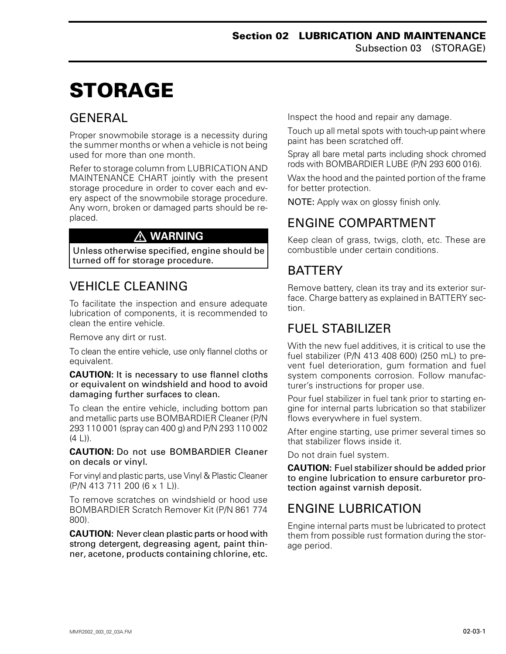# <span id="page-3-0"></span>**STORAGE 0**

#### <span id="page-3-1"></span>**GENERAL**

Proper snowmobile storage is a necessity during the summer months or when a vehicle is not being used for more than one month.

Refer to storage column from LUBRICATION AND MAINTENANCE CHART jointly with the present storage procedure in order to cover each and every aspect of the snowmobile storage procedure. Any worn, broken or damaged parts should be replaced.

#### **WARNING**

Unless otherwise specified, engine should be turned off for storage procedure.

### <span id="page-3-2"></span>VEHICLE CLEANING

To facilitate the inspection and ensure adequate lubrication of components, it is recommended to clean the entire vehicle.

Remove any dirt or rust.

To clean the entire vehicle, use only flannel cloths or equivalent.

**CAUTION:** It is necessary to use flannel cloths or equivalent on windshield and hood to avoid damaging further surfaces to clean.

To clean the entire vehicle, including bottom pan and metallic parts use BOMBARDIER Cleaner (P/N 293 110 001 (spray can 400 g) and P/N 293 110 002  $(4 L)$ .

**CAUTION:** Do not use BOMBARDIER Cleaner on decals or vinyl.

For vinyl and plastic parts, use Vinyl & Plastic Cleaner (P/N 413 711 200 (6 x 1 L)).

To remove scratches on windshield or hood use BOMBARDIER Scratch Remover Kit (P/N 861 774 800).

**CAUTION:** Never clean plastic parts or hood with strong detergent, degreasing agent, paint thinner, acetone, products containing chlorine, etc. Inspect the hood and repair any damage.

Touch up all metal spots with touch-up paint where paint has been scratched off.

Spray all bare metal parts including shock chromed rods with BOMBARDIER LUBE (P/N 293 600 016).

Wax the hood and the painted portion of the frame for better protection.

NOTE: Apply wax on glossy finish only.

### <span id="page-3-3"></span>ENGINE COMPARTMENT

Keep clean of grass, twigs, cloth, etc. These are combustible under certain conditions.

#### <span id="page-3-4"></span>**BATTERY**

Remove battery, clean its tray and its exterior surface. Charge battery as explained in BATTERY section.

#### <span id="page-3-5"></span>FUEL STABILIZER

With the new fuel additives, it is critical to use the fuel stabilizer (P/N 413 408 600) (250 mL) to prevent fuel deterioration, gum formation and fuel system components corrosion. Follow manufacturer's instructions for proper use.

Pour fuel stabilizer in fuel tank prior to starting engine for internal parts lubrication so that stabilizer flows everywhere in fuel system.

After engine starting, use primer several times so that stabilizer flows inside it.

Do not drain fuel system.

**CAUTION:** Fuel stabilizer should be added prior to engine lubrication to ensure carburetor protection against varnish deposit.

### <span id="page-3-6"></span>ENGINE LUBRICATION

Engine internal parts must be lubricated to protect them from possible rust formation during the storage period.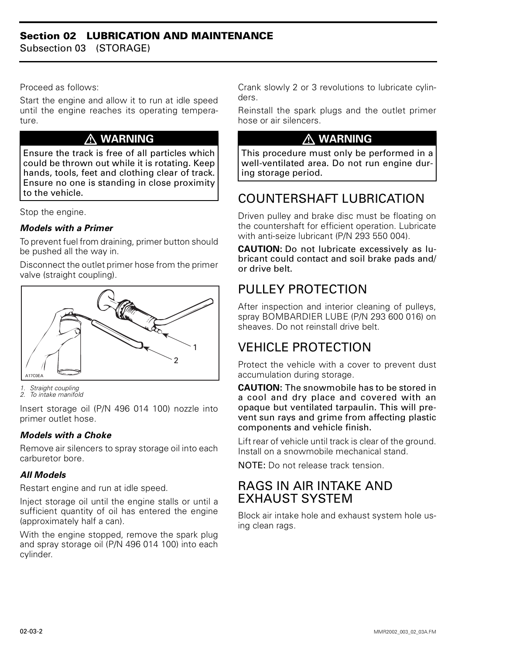#### **Section 02 LUBRICATION AND MAINTENANCE**

Subsection 03 (STORAGE)

#### Proceed as follows:

Start the engine and allow it to run at idle speed until the engine reaches its operating temperature.

#### **WARNING**

Ensure the track is free of all particles which could be thrown out while it is rotating. Keep hands, tools, feet and clothing clear of track. Ensure no one is standing in close proximity to the vehicle.

Stop the engine.

#### *Models with a Primer*

To prevent fuel from draining, primer button should be pushed all the way in.

Disconnect the outlet primer hose from the primer valve (straight coupling).



*1. Straight coupling 2. To intake manifold*

Insert storage oil (P/N 496 014 100) nozzle into primer outlet hose.

#### *Models with a Choke*

Remove air silencers to spray storage oil into each carburetor bore.

#### *All Models*

Restart engine and run at idle speed.

Inject storage oil until the engine stalls or until a sufficient quantity of oil has entered the engine (approximately half a can).

With the engine stopped, remove the spark plug and spray storage oil (P/N 496 014 100) into each cylinder.

Crank slowly 2 or 3 revolutions to lubricate cylinders.

Reinstall the spark plugs and the outlet primer hose or air silencers.

#### **WARNING**

This procedure must only be performed in a well-ventilated area. Do not run engine during storage period.

#### <span id="page-4-0"></span>COUNTERSHAFT LUBRICATION

Driven pulley and brake disc must be floating on the countershaft for efficient operation. Lubricate with anti-seize lubricant (P/N 293 550 004).

**CAUTION:** Do not lubricate excessively as lubricant could contact and soil brake pads and/ or drive belt.

### <span id="page-4-1"></span>PULLEY PROTECTION

After inspection and interior cleaning of pulleys, spray BOMBARDIER LUBE (P/N 293 600 016) on sheaves. Do not reinstall drive belt.

#### <span id="page-4-2"></span>VEHICLE PROTECTION

Protect the vehicle with a cover to prevent dust accumulation during storage.

**CAUTION:** The snowmobile has to be stored in a cool and dry place and covered with an opaque but ventilated tarpaulin. This will prevent sun rays and grime from affecting plastic components and vehicle finish.

Lift rear of vehicle until track is clear of the ground. Install on a snowmobile mechanical stand.

NOTE: Do not release track tension.

#### <span id="page-4-3"></span>RAGS IN AIR INTAKE AND EXHAUST SYSTEM

Block air intake hole and exhaust system hole using clean rags.